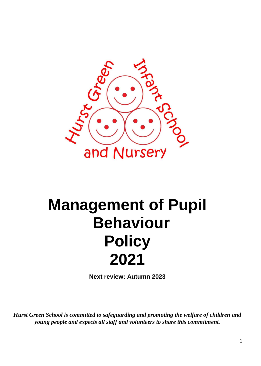

# **Management of Pupil Behaviour Policy 2021**

**Next review: Autumn 2023**

*Hurst Green School is committed to safeguarding and promoting the welfare of children and young people and expects all staff and volunteers to share this commitment.*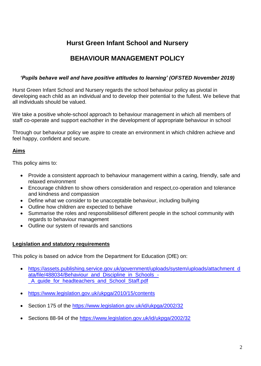# **Hurst Green Infant School and Nursery**

## **BEHAVIOUR MANAGEMENT POLICY**

#### *'Pupils behave well and have positive attitudes to learning' (OFSTED November 2019)*

Hurst Green Infant School and Nursery regards the school behaviour policy as pivotal in developing each child as an individual and to develop their potential to the fullest. We believe that all individuals should be valued.

We take a positive whole-school approach to behaviour management in which all members of staff co-operate and support eachother in the development of appropriate behaviour in school

Through our behaviour policy we aspire to create an environment in which children achieve and feel happy, confident and secure.

#### **Aims**

This policy aims to:

- Provide a consistent approach to behaviour management within a caring, friendly, safe and relaxed environment
- Encourage children to show others consideration and respect,co-operation and tolerance and kindness and compassion
- Define what we consider to be unacceptable behaviour, including bullying
- Outline how children are expected to behave
- Summarise the roles and responsibilitiesof different people in the school community with regards to behaviour management
- Outline our system of rewards and sanctions

#### **Legislation and statutory requirements**

This policy is based on advice from the Department for Education (DfE) on:

- [https://assets.publishing.service.gov.uk/government/uploads/system/uploads/attachment\\_d](https://assets.publishing.service.gov.uk/government/uploads/system/uploads/attachment_data/file/488034/Behaviour_and_Discipline_in_Schools_-_A_guide_for_headteachers_and_School_Staff.pdf) [ata/file/488034/Behaviour\\_and\\_Discipline\\_in\\_Schools\\_-](https://assets.publishing.service.gov.uk/government/uploads/system/uploads/attachment_data/file/488034/Behaviour_and_Discipline_in_Schools_-_A_guide_for_headteachers_and_School_Staff.pdf) A quide for headteachers and School Staff.pdf
- <https://www.legislation.gov.uk/ukpga/2010/15/contents>
- Section 175 of the<https://www.legislation.gov.uk/id/ukpga/2002/32>
- Sections 88-94 of the<https://www.legislation.gov.uk/id/ukpga/2002/32>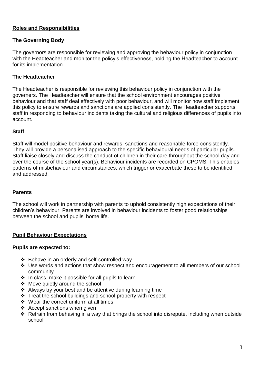### **Roles and Responsibilities**

#### **The Governing Body**

The governors are responsible for reviewing and approving the behaviour policy in conjunction with the Headteacher and monitor the policy's effectiveness, holding the Headteacher to account for its implementation.

#### **The Headteacher**

The Headteacher is responsible for reviewing this behaviour policy in conjunction with the governers. The Headteacher will ensure that the school environment encourages positive behaviour and that staff deal effectively with poor behaviour, and will monitor how staff implement this policy to ensure rewards and sanctions are applied consistently. The Headteacher supports staff in responding to behaviour incidents taking the cultural and religious differences of pupils into account.

#### **Staff**

Staff will model positive behaviour and rewards, sanctions and reasonable force consistently. They will provide a personalised approach to the specific behavioural needs of particular pupils. Staff liaise closely and discuss the conduct of children in their care throughout the school day and over the course of the school year(s). Behaviour incidents are recorded on CPOMS. This enables patterns of misbehaviour and circumstances, which trigger or exacerbate these to be identified and addressed.

#### **Parents**

The school will work in partnership with parents to uphold consistently high expectations of their children's behaviour. Parents are involved in behaviour incidents to foster good relationships between the school and pupils' home life.

#### **Pupil Behaviour Expectations**

#### **Pupils are expected to:**

- ❖ Behave in an orderly and self-controlled way
- Use words and actions that show respect and encouragement to all members of our school community
- $\cdot \cdot$  In class, make it possible for all pupils to learn
- ❖ Move quietly around the school
- ❖ Always try your best and be attentive during learning time
- $\div$  Treat the school buildings and school property with respect
- ❖ Wear the correct uniform at all times
- ❖ Accept sanctions when given
- $\div$  Refrain from behaving in a way that brings the school into disrepute, including when outside school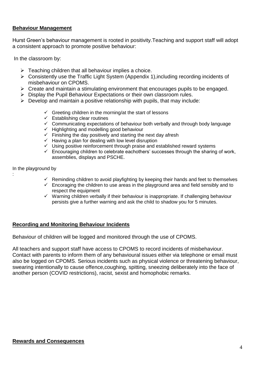#### **Behaviour Management**

Hurst Green's behaviour management is rooted in positivity.Teaching and support staff will adopt a consistent approach to promote positive behaviour:

In the classroom by:

- $\triangleright$  Teaching children that all behaviour implies a choice.
- $\triangleright$  Consistently use the Traffic Light System (Appendix 1), including recording incidents of misbehaviour on CPOMS.
- $\triangleright$  Create and maintain a stimulating environment that encourages pupils to be engaged.
- $\triangleright$  Display the Pupil Behaviour Expectations or their own classroom rules.
- $\triangleright$  Develop and maintain a positive relationship with pupils, that may include:
	- $\checkmark$  Greeting children in the morning/at the start of lessons
	- $\checkmark$  Establishing clear routines
	- $\checkmark$  Communicating expectations of behaviour both verbally and through body language
	- $\checkmark$  Highlighting and modelling good behaviour
	- $\checkmark$  Finishing the day positively and starting the next day afresh
	- $\checkmark$  Having a plan for dealing with low level disruption
	- $\checkmark$  Using positive reinforcement through praise and established reward systems
	- $\checkmark$  Encouraging children to celebrate eachothers' successes through the sharing of work, assemblies, displays and PSCHE.

In the playground by

:

- $\checkmark$  Reminding children to avoid playfighting by keeping their hands and feet to themselves
- $\checkmark$  Encoraging the children to use areas in the playground area and field sensibly and to respect the equipment
- $\checkmark$  Warning children verbally if their behaviour is inappropriate. If challenging behaviour persists give a further warning and ask the child to shadow you for 5 minutes.

#### **Recording and Monitoring Behaviour Incidents**

Behaviour of children will be logged and monitored through the use of CPOMS.

All teachers and support staff have access to CPOMS to record incidents of misbehaviour. Contact with parents to inform them of any behavioural issues either via telephone or email must also be logged on CPOMS. Serious incidents such as physical violence or threatening behaviour, swearing intentionally to cause offence,coughing, spitting, sneezing deliberately into the face of another person (COVID restrictions), racist, sexist and homophobic remarks.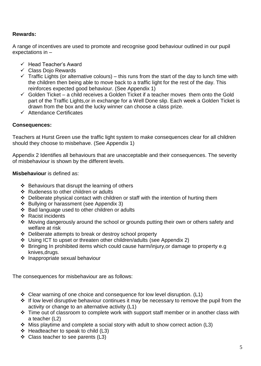#### **Rewards:**

A range of incentives are used to promote and recognise good behaviour outlined in our pupil expectations in –

- $\checkmark$  Head Teacher's Award
- $\checkmark$  Class Doio Rewards
- $\checkmark$  Traffic Lights (or alternative colours) this runs from the start of the day to lunch time with the children then being able to move back to a traffic light for the rest of the day. This reinforces expected good behaviour. (See Appendix 1)
- $\checkmark$  Golden Ticket a child receives a Golden Ticket if a teacher moves them onto the Gold part of the Traffic Lights,or in exchange for a Well Done slip. Each week a Golden Ticket is drawn from the box and the lucky winner can choose a class prize.
- $\checkmark$  Attendance Certificates

#### **Consequences:**

Teachers at Hurst Green use the traffic light system to make consequences clear for all children should they choose to misbehave. (See Appendix 1)

Appendix 2 Identifies all behaviours that are unacceptable and their consequences. The severity of misbehaviour is shown by the different levels.

**Misbehaviour** is defined as:

- $\div$  Behaviours that disrupt the learning of others
- ❖ Rudeness to other children or adults
- ❖ Deliberate physical contact with children or staff with the intention of hurting them
- ❖ Bullying or harassment (see Appendix 3)
- Bad language used to other children or adults
- $\div$  Racist incidents
- \* Moving dangerously around the school or grounds putting their own or others safety and welfare at risk
- Deliberate attempts to break or destroy school property
- Using ICT to upset or threaten other children/adults (see Appendix 2)
- Bringing In prohibited items which could cause harm/injury,or damage to property e.g knives,drugs.
- ❖ Inappropriate sexual behaviour

The consequences for misbehaviour are as follows:

- Clear warning of one choice and consequence for low level disruption. (L1)
- If low level disruptive behaviour continues it may be necessary to remove the pupil from the activity or change to an alternative activity (L1)
- Time out of classroom to complete work with support staff member or in another class with a teacher (L2)
- $\cdot$  Miss playtime and complete a social story with adult to show correct action (L3)
- $\div$  Headteacher to speak to child (L3)
- ❖ Class teacher to see parents (L3)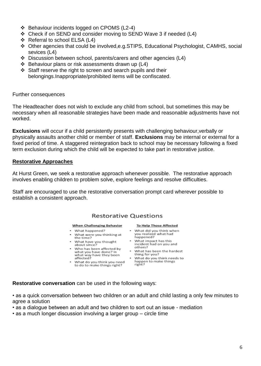- ❖ Behaviour incidents logged on CPOMS (L2-4)
- Check if on SEND and consider moving to SEND Wave 3 if needed (L4)
- ❖ Referral to school ELSA (L4)
- Other agencies that could be involved,e.g.STIPS, Educational Psychologist, CAMHS, social sevices (L4)
- Discussion between school, parents/carers and other agencies (L4)
- $\div$  Behaviour plans or risk assessments drawn up (L4)
- $\div$  Staff reserve the right to screen and search pupils and their belongings.Inappropriate/prohibited items will be confiscated.

Further consequences

The Headteacher does not wish to exclude any child from school, but sometimes this may be necessary when all reasonable strategies have been made and reasonable adjustments have not worked.

**Exclusions** will occur if a child persistently presents with challenging behaviour,verbally or physically assaults another child or member of staff. **Exclusions** may be internal or external for a fixed period of time. A staggered reintegration back to school may be necessary following a fixed term exclusion during which the child will be expected to take part in restorative justice.

#### **Restorative Approaches**

At Hurst Green, we seek a restorative approach whenever possible. The restorative approach involves enabling children to problem solve, explore feelings and resolve difficulties.

Staff are encouraged to use the restorative conversation prompt card wherever possible to establish a consistent approach.

#### Restorative Questions

#### When Challenging Behavior

- What happened?
- . What were you thinking at the time?
- . What have you thought<br>about since?
- . Who has been affected by what you have done? In<br>what way have they been<br>affected?
- . What do you think you need to do to make things right?

#### To Help Those Affected

- . What did you think when you realized what had happened?
- What impact has this incident had on you and others?
- What has been the hardest thing for you?
- . What do you think needs to happen to make things<br>right?

**Restorative conversation** can be used in the following ways:

• as a quick conversation between two children or an adult and child lasting a only few minutes to agree a solution

• as a dialogue between an adult and two children to sort out an issue - mediation

• as a much longer discussion involving a larger group – circle time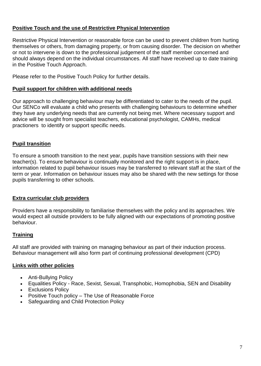## **Positive Touch and the use of Restrictive Physical Intervention**

Restrictive Physical Intervention or reasonable force can be used to prevent children from hurting themselves or others, from damaging property, or from causing disorder. The decision on whether or not to intervene is down to the professional judgement of the staff member concerned and should always depend on the individual circumstances. All staff have received up to date training in the Positive Touch Approach.

Please refer to the Positive Touch Policy for further details.

#### **Pupil support for children with additional needs**

Our approach to challenging behaviour may be differentiated to cater to the needs of the pupil. Our SENCo will evaluate a child who presents with challenging behaviours to determine whether they have any underlying needs that are currently not being met. Where necessary support and advice will be sought from specialist teachers, educational psychologist, CAMHs, medical practioners to identify or support specific needs.

#### **Pupil transition**

To ensure a smooth transition to the next year, pupils have transition sessions with their new teacher(s). To ensure behaviour is continually monitored and the right support is in place, information related to pupil behaviour issues may be transferred to relevant staff at the start of the term or year. Information on behaviour issues may also be shared with the new settings for those pupils transferring to other schools.

## **Extra curricular club providers**

Providers have a responsibility to familiarise themselves with the policy and its approaches. We would expect all outside providers to be fully aligned with our expectations of promoting positive behaviour.

#### **Training**

All staff are provided with training on managing behaviour as part of their induction process. Behaviour management will also form part of continuing professional development (CPD)

#### **Links with other policies**

- Anti-Bullying Policy
- Equalities Policy Race, Sexist, Sexual, Transphobic, Homophobia, SEN and Disability
- Exclusions Policy
- Positive Touch policy The Use of Reasonable Force
- Safeguarding and Child Protection Policy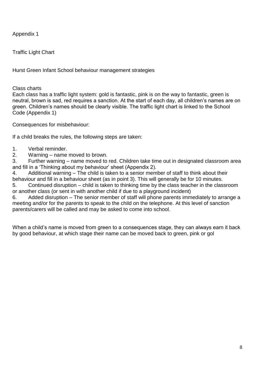Appendix 1

Traffic Light Chart

Hurst Green Infant School behaviour management strategies

Class charts

Each class has a traffic light system: gold is fantastic, pink is on the way to fantastic, green is neutral, brown is sad, red requires a sanction. At the start of each day, all children's names are on green. Children's names should be clearly visible. The traffic light chart is linked to the School Code (Appendix 1)

Consequences for misbehaviour:

If a child breaks the rules, the following steps are taken:

- 1. Verbal reminder.
- 2. Warning name moved to brown.

3. Further warning – name moved to red. Children take time out in designated classroom area and fill in a 'Thinking about my behaviour' sheet (Appendix 2).

4. Additional warning – The child is taken to a senior member of staff to think about their behaviour and fill in a behaviour sheet (as in point 3). This will generally be for 10 minutes.

5. Continued disruption – child is taken to thinking time by the class teacher in the classroom or another class (or sent in with another child if due to a playground incident)

6. Added disruption – The senior member of staff will phone parents immediately to arrange a meeting and/or for the parents to speak to the child on the telephone. At this level of sanction parents/carers will be called and may be asked to come into school.

When a child's name is moved from green to a consequences stage, they can always earn it back by good behaviour, at which stage their name can be moved back to green, pink or gol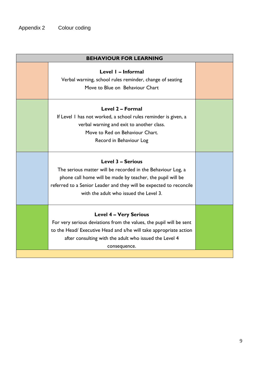| <b>BEHAVIOUR FOR LEARNING</b> |                                                                                                                                                                                                                                                                       |  |
|-------------------------------|-----------------------------------------------------------------------------------------------------------------------------------------------------------------------------------------------------------------------------------------------------------------------|--|
|                               | Level I - Informal<br>Verbal warning, school rules reminder, change of seating<br>Move to Blue on Behaviour Chart                                                                                                                                                     |  |
|                               | Level 2 - Formal<br>If Level I has not worked, a school rules reminder is given, a<br>verbal warning and exit to another class.<br>Move to Red on Behaviour Chart.<br>Record in Behaviour Log                                                                         |  |
|                               | <b>Level 3 - Serious</b><br>The serious matter will be recorded in the Behaviour Log, a<br>phone call home will be made by teacher, the pupil will be<br>referred to a Senior Leader and they will be expected to reconcile<br>with the adult who issued the Level 3. |  |
|                               | <b>Level 4 - Very Serious</b><br>For very serious deviations from the values, the pupil will be sent<br>to the Head/ Executive Head and s/he will take appropriate action<br>after consulting with the adult who issued the Level 4<br>consequence.                   |  |